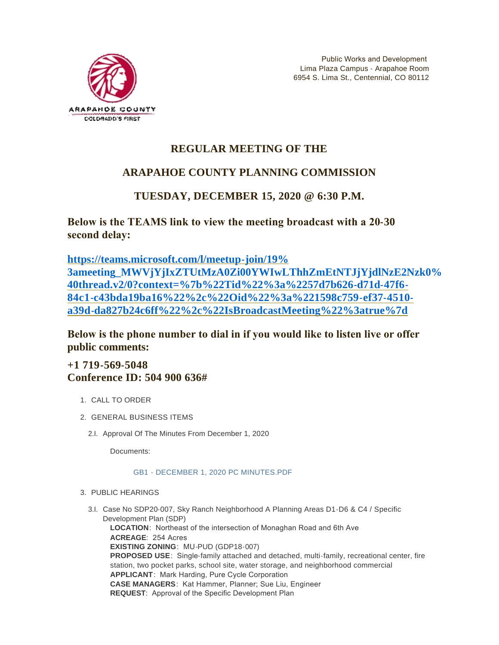

# **REGULAR MEETING OF THE**

# **ARAPAHOE COUNTY PLANNING COMMISSION**

## **TUESDAY, DECEMBER 15, 2020 @ 6:30 P.M.**

**Below is the TEAMS link to view the meeting broadcast with a 20-30 second delay:** 

**https://teams.microsoft.com/l/meetup-join/19% [3ameeting\\_MWVjYjIxZTUtMzA0Zi00YWIwLThhZmEtNTJjYjdlNzE2Nzk0%](https://teams.microsoft.com/l/meetup-join/19%3ameeting_MWVjYjIxZTUtMzA0Zi00YWIwLThhZmEtNTJjYjdlNzE2Nzk0%40thread.v2/0?context=%7b%22Tid%22%3a%2257d7b626-d71d-47f6-84c1-c43bda19ba16%22%2c%22Oid%22%3a%221598c759-ef37-4510-a39d-da827b24c6ff%22%2c%22IsBroadcastMeeting%22%3atrue%7d) 40thread.v2/0?context=%7b%22Tid%22%3a%2257d7b626-d71d-47f6- 84c1-c43bda19ba16%22%2c%22Oid%22%3a%221598c759-ef37-4510 a39d-da827b24c6ff%22%2c%22IsBroadcastMeeting%22%3atrue%7d**

**Below is the phone number to dial in if you would like to listen live or offer public comments:**

## **+1 719-569-5048 Conference ID: 504 900 636#**

- 1. CALL TO ORDER
- GENERAL BUSINESS ITEMS 2.
	- 2.I. Approval Of The Minutes From December 1, 2020

Documents:

#### [GB1 - DECEMBER 1, 2020 PC MINUTES.PDF](https://www.arapahoegov.com/AgendaCenter/ViewFile/Item/13988?fileID=24999)

- 3. PUBLIC HEARINGS
	- 3.I. Case No SDP20-007, Sky Ranch Neighborhood A Planning Areas D1-D6 & C4 / Specific Development Plan (SDP) **LOCATION**: Northeast of the intersection of Monaghan Road and 6th Ave **ACREAGE**: 254 Acres **EXISTING ZONING**: MU-PUD (GDP18-007) **PROPOSED USE**: Single-family attached and detached, multi-family, recreational center, fire station, two pocket parks, school site, water storage, and neighborhood commercial **APPLICANT**: Mark Harding, Pure Cycle Corporation **CASE MANAGERS**: Kat Hammer, Planner; Sue Liu, Engineer **REQUEST**: Approval of the Specific Development Plan